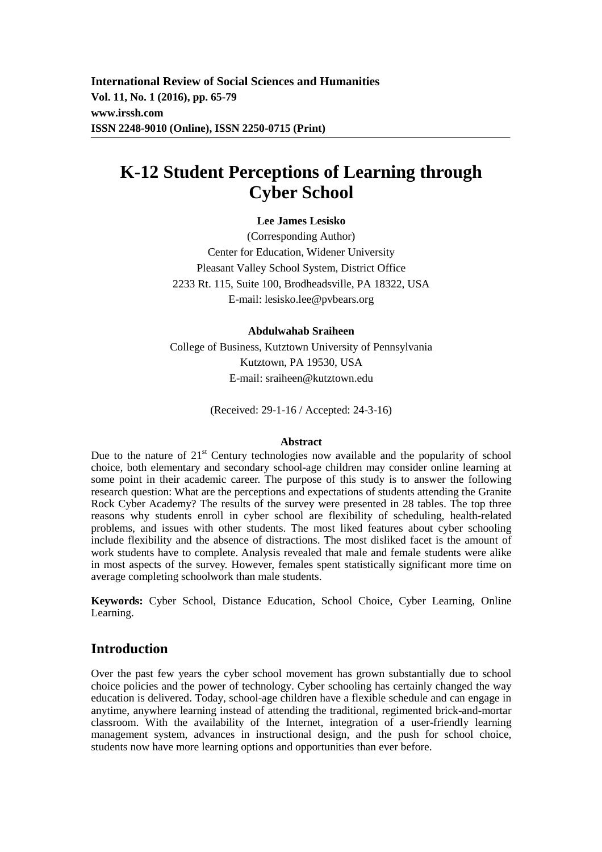**International Review of Social Sciences and Humanities Vol. 11, No. 1 (2016), pp. 65-79 www.irssh.com ISSN 2248-9010 (Online), ISSN 2250-0715 (Print)** 

# **K-12 Student Perceptions of Learning through Cyber School**

#### **Lee James Lesisko**

(Corresponding Author) Center for Education, Widener University Pleasant Valley School System, District Office 2233 Rt. 115, Suite 100, Brodheadsville, PA 18322, USA E-mail: lesisko.lee@pvbears.org

#### **Abdulwahab Sraiheen**

College of Business, Kutztown University of Pennsylvania Kutztown, PA 19530, USA E-mail: sraiheen@kutztown.edu

(Received: 29-1-16 / Accepted: 24-3-16)

#### **Abstract**

Due to the nature of 21<sup>st</sup> Century technologies now available and the popularity of school choice, both elementary and secondary school-age children may consider online learning at some point in their academic career. The purpose of this study is to answer the following research question: What are the perceptions and expectations of students attending the Granite Rock Cyber Academy? The results of the survey were presented in 28 tables. The top three reasons why students enroll in cyber school are flexibility of scheduling, health-related problems, and issues with other students. The most liked features about cyber schooling include flexibility and the absence of distractions. The most disliked facet is the amount of work students have to complete. Analysis revealed that male and female students were alike in most aspects of the survey. However, females spent statistically significant more time on average completing schoolwork than male students.

**Keywords:** Cyber School, Distance Education, School Choice, Cyber Learning, Online Learning.

### **Introduction**

Over the past few years the cyber school movement has grown substantially due to school choice policies and the power of technology. Cyber schooling has certainly changed the way education is delivered. Today, school-age children have a flexible schedule and can engage in anytime, anywhere learning instead of attending the traditional, regimented brick-and-mortar classroom. With the availability of the Internet, integration of a user-friendly learning management system, advances in instructional design, and the push for school choice, students now have more learning options and opportunities than ever before.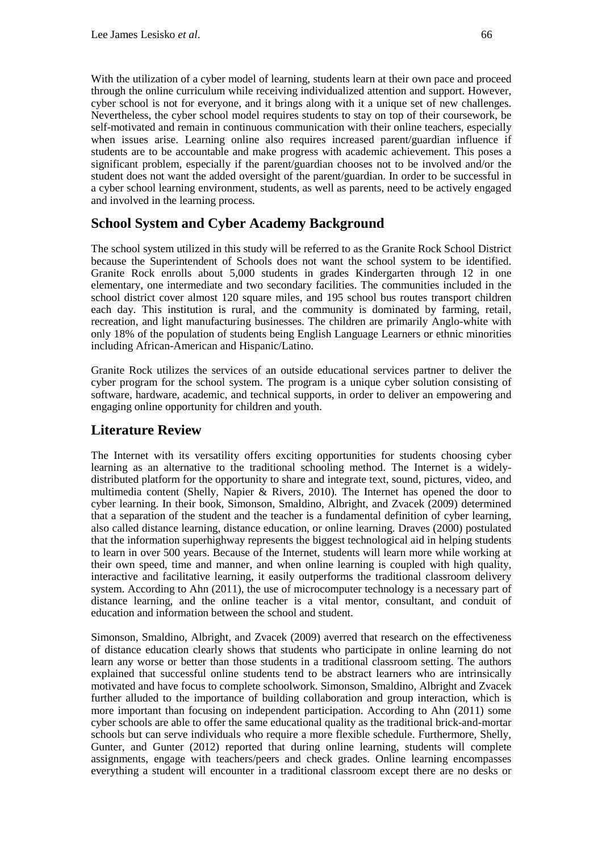With the utilization of a cyber model of learning, students learn at their own pace and proceed through the online curriculum while receiving individualized attention and support. However, cyber school is not for everyone, and it brings along with it a unique set of new challenges. Nevertheless, the cyber school model requires students to stay on top of their coursework, be self-motivated and remain in continuous communication with their online teachers, especially when issues arise. Learning online also requires increased parent/guardian influence if students are to be accountable and make progress with academic achievement. This poses a significant problem, especially if the parent/guardian chooses not to be involved and/or the student does not want the added oversight of the parent/guardian. In order to be successful in a cyber school learning environment, students, as well as parents, need to be actively engaged and involved in the learning process.

# **School System and Cyber Academy Background**

The school system utilized in this study will be referred to as the Granite Rock School District because the Superintendent of Schools does not want the school system to be identified. Granite Rock enrolls about 5,000 students in grades Kindergarten through 12 in one elementary, one intermediate and two secondary facilities. The communities included in the school district cover almost 120 square miles, and 195 school bus routes transport children each day. This institution is rural, and the community is dominated by farming, retail, recreation, and light manufacturing businesses. The children are primarily Anglo-white with only 18% of the population of students being English Language Learners or ethnic minorities including African-American and Hispanic/Latino.

Granite Rock utilizes the services of an outside educational services partner to deliver the cyber program for the school system. The program is a unique cyber solution consisting of software, hardware, academic, and technical supports, in order to deliver an empowering and engaging online opportunity for children and youth.

### **Literature Review**

The Internet with its versatility offers exciting opportunities for students choosing cyber learning as an alternative to the traditional schooling method. The Internet is a widelydistributed platform for the opportunity to share and integrate text, sound, pictures, video, and multimedia content (Shelly, Napier & Rivers, 2010). The Internet has opened the door to cyber learning. In their book, Simonson, Smaldino, Albright, and Zvacek (2009) determined that a separation of the student and the teacher is a fundamental definition of cyber learning, also called distance learning, distance education, or online learning. Draves (2000) postulated that the information superhighway represents the biggest technological aid in helping students to learn in over 500 years. Because of the Internet, students will learn more while working at their own speed, time and manner, and when online learning is coupled with high quality, interactive and facilitative learning, it easily outperforms the traditional classroom delivery system. According to Ahn (2011), the use of microcomputer technology is a necessary part of distance learning, and the online teacher is a vital mentor, consultant, and conduit of education and information between the school and student.

Simonson, Smaldino, Albright, and Zvacek (2009) averred that research on the effectiveness of distance education clearly shows that students who participate in online learning do not learn any worse or better than those students in a traditional classroom setting. The authors explained that successful online students tend to be abstract learners who are intrinsically motivated and have focus to complete schoolwork. Simonson, Smaldino, Albright and Zvacek further alluded to the importance of building collaboration and group interaction, which is more important than focusing on independent participation. According to Ahn (2011) some cyber schools are able to offer the same educational quality as the traditional brick-and-mortar schools but can serve individuals who require a more flexible schedule. Furthermore, Shelly, Gunter, and Gunter (2012) reported that during online learning, students will complete assignments, engage with teachers/peers and check grades. Online learning encompasses everything a student will encounter in a traditional classroom except there are no desks or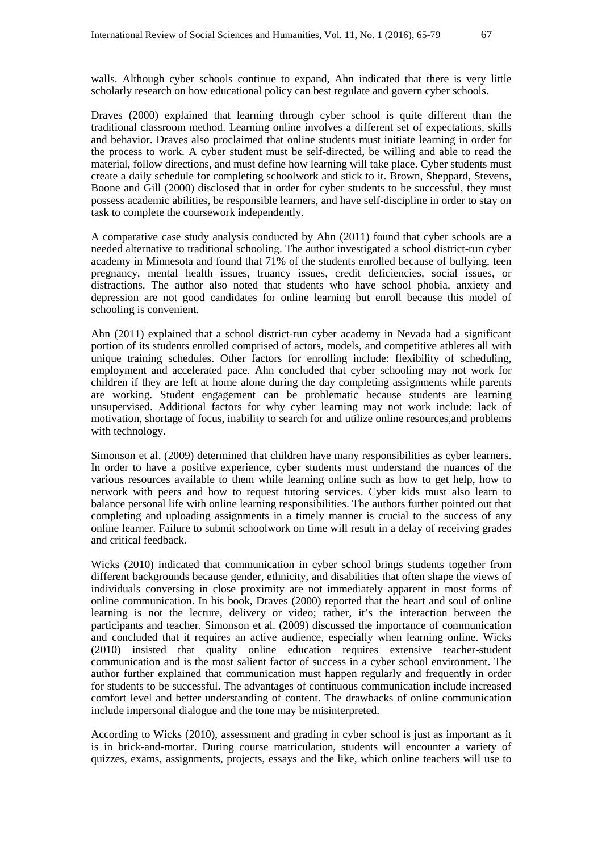walls. Although cyber schools continue to expand, Ahn indicated that there is very little scholarly research on how educational policy can best regulate and govern cyber schools.

Draves (2000) explained that learning through cyber school is quite different than the traditional classroom method. Learning online involves a different set of expectations, skills and behavior. Draves also proclaimed that online students must initiate learning in order for the process to work. A cyber student must be self-directed, be willing and able to read the material, follow directions, and must define how learning will take place. Cyber students must create a daily schedule for completing schoolwork and stick to it. Brown, Sheppard, Stevens, Boone and Gill (2000) disclosed that in order for cyber students to be successful, they must possess academic abilities, be responsible learners, and have self-discipline in order to stay on task to complete the coursework independently.

A comparative case study analysis conducted by Ahn (2011) found that cyber schools are a needed alternative to traditional schooling. The author investigated a school district-run cyber academy in Minnesota and found that 71% of the students enrolled because of bullying, teen pregnancy, mental health issues, truancy issues, credit deficiencies, social issues, or distractions. The author also noted that students who have school phobia, anxiety and depression are not good candidates for online learning but enroll because this model of schooling is convenient.

Ahn (2011) explained that a school district-run cyber academy in Nevada had a significant portion of its students enrolled comprised of actors, models, and competitive athletes all with unique training schedules. Other factors for enrolling include: flexibility of scheduling, employment and accelerated pace. Ahn concluded that cyber schooling may not work for children if they are left at home alone during the day completing assignments while parents are working. Student engagement can be problematic because students are learning unsupervised. Additional factors for why cyber learning may not work include: lack of motivation, shortage of focus, inability to search for and utilize online resources,and problems with technology.

Simonson et al. (2009) determined that children have many responsibilities as cyber learners. In order to have a positive experience, cyber students must understand the nuances of the various resources available to them while learning online such as how to get help, how to network with peers and how to request tutoring services. Cyber kids must also learn to balance personal life with online learning responsibilities. The authors further pointed out that completing and uploading assignments in a timely manner is crucial to the success of any online learner. Failure to submit schoolwork on time will result in a delay of receiving grades and critical feedback.

Wicks (2010) indicated that communication in cyber school brings students together from different backgrounds because gender, ethnicity, and disabilities that often shape the views of individuals conversing in close proximity are not immediately apparent in most forms of online communication. In his book, Draves (2000) reported that the heart and soul of online learning is not the lecture, delivery or video; rather, it's the interaction between the participants and teacher. Simonson et al. (2009) discussed the importance of communication and concluded that it requires an active audience, especially when learning online. Wicks (2010) insisted that quality online education requires extensive teacher-student communication and is the most salient factor of success in a cyber school environment. The author further explained that communication must happen regularly and frequently in order for students to be successful. The advantages of continuous communication include increased comfort level and better understanding of content. The drawbacks of online communication include impersonal dialogue and the tone may be misinterpreted.

According to Wicks (2010), assessment and grading in cyber school is just as important as it is in brick-and-mortar. During course matriculation, students will encounter a variety of quizzes, exams, assignments, projects, essays and the like, which online teachers will use to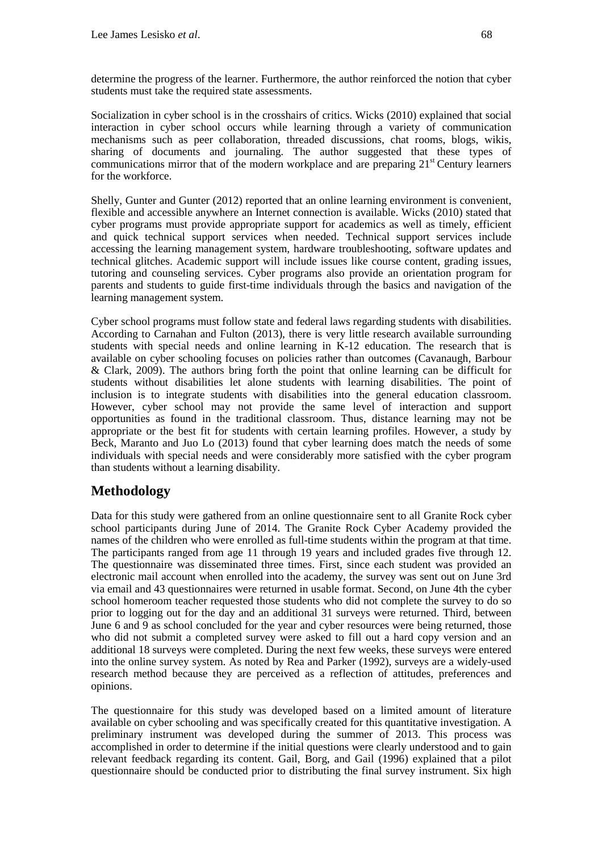determine the progress of the learner. Furthermore, the author reinforced the notion that cyber students must take the required state assessments.

Socialization in cyber school is in the crosshairs of critics. Wicks (2010) explained that social interaction in cyber school occurs while learning through a variety of communication mechanisms such as peer collaboration, threaded discussions, chat rooms, blogs, wikis, sharing of documents and journaling. The author suggested that these types of communications mirror that of the modern workplace and are preparing  $21<sup>st</sup>$  Century learners for the workforce.

Shelly, Gunter and Gunter (2012) reported that an online learning environment is convenient, flexible and accessible anywhere an Internet connection is available. Wicks (2010) stated that cyber programs must provide appropriate support for academics as well as timely, efficient and quick technical support services when needed. Technical support services include accessing the learning management system, hardware troubleshooting, software updates and technical glitches. Academic support will include issues like course content, grading issues, tutoring and counseling services. Cyber programs also provide an orientation program for parents and students to guide first-time individuals through the basics and navigation of the learning management system.

Cyber school programs must follow state and federal laws regarding students with disabilities. According to Carnahan and Fulton (2013), there is very little research available surrounding students with special needs and online learning in K-12 education. The research that is available on cyber schooling focuses on policies rather than outcomes (Cavanaugh, Barbour & Clark, 2009). The authors bring forth the point that online learning can be difficult for students without disabilities let alone students with learning disabilities. The point of inclusion is to integrate students with disabilities into the general education classroom. However, cyber school may not provide the same level of interaction and support opportunities as found in the traditional classroom. Thus, distance learning may not be appropriate or the best fit for students with certain learning profiles. However, a study by Beck, Maranto and Juo Lo (2013) found that cyber learning does match the needs of some individuals with special needs and were considerably more satisfied with the cyber program than students without a learning disability.

# **Methodology**

Data for this study were gathered from an online questionnaire sent to all Granite Rock cyber school participants during June of 2014. The Granite Rock Cyber Academy provided the names of the children who were enrolled as full-time students within the program at that time. The participants ranged from age 11 through 19 years and included grades five through 12. The questionnaire was disseminated three times. First, since each student was provided an electronic mail account when enrolled into the academy, the survey was sent out on June 3rd via email and 43 questionnaires were returned in usable format. Second, on June 4th the cyber school homeroom teacher requested those students who did not complete the survey to do so prior to logging out for the day and an additional 31 surveys were returned. Third, between June 6 and 9 as school concluded for the year and cyber resources were being returned, those who did not submit a completed survey were asked to fill out a hard copy version and an additional 18 surveys were completed. During the next few weeks, these surveys were entered into the online survey system. As noted by Rea and Parker (1992), surveys are a widely-used research method because they are perceived as a reflection of attitudes, preferences and opinions.

The questionnaire for this study was developed based on a limited amount of literature available on cyber schooling and was specifically created for this quantitative investigation. A preliminary instrument was developed during the summer of 2013. This process was accomplished in order to determine if the initial questions were clearly understood and to gain relevant feedback regarding its content. Gail, Borg, and Gail (1996) explained that a pilot questionnaire should be conducted prior to distributing the final survey instrument. Six high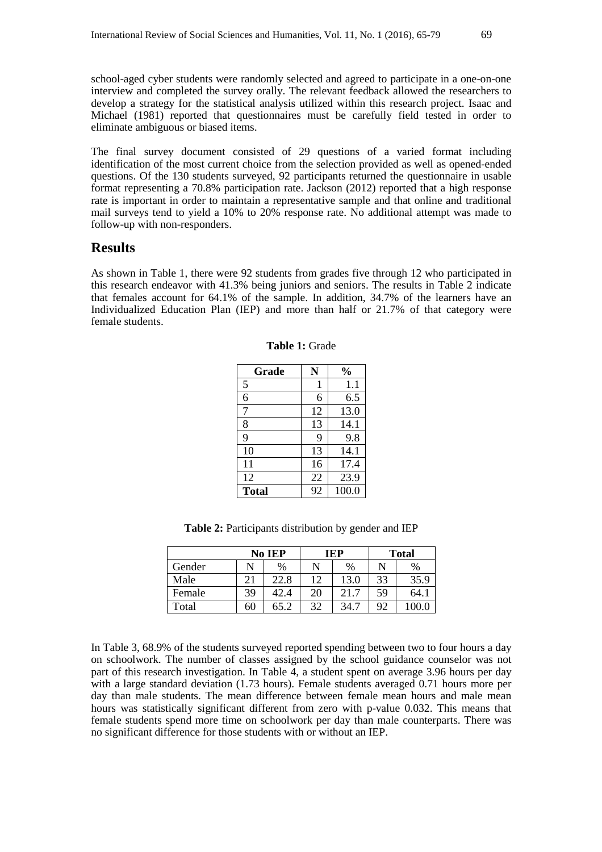school-aged cyber students were randomly selected and agreed to participate in a one-on-one interview and completed the survey orally. The relevant feedback allowed the researchers to develop a strategy for the statistical analysis utilized within this research project. Isaac and Michael (1981) reported that questionnaires must be carefully field tested in order to eliminate ambiguous or biased items.

The final survey document consisted of 29 questions of a varied format including identification of the most current choice from the selection provided as well as opened-ended questions. Of the 130 students surveyed, 92 participants returned the questionnaire in usable format representing a 70.8% participation rate. Jackson (2012) reported that a high response rate is important in order to maintain a representative sample and that online and traditional mail surveys tend to yield a 10% to 20% response rate. No additional attempt was made to follow-up with non-responders.

#### **Results**

As shown in Table 1, there were 92 students from grades five through 12 who participated in this research endeavor with 41.3% being juniors and seniors. The results in Table 2 indicate that females account for 64.1% of the sample. In addition, 34.7% of the learners have an Individualized Education Plan (IEP) and more than half or 21.7% of that category were female students.

| Grade        | N  | $\frac{0}{0}$ |
|--------------|----|---------------|
| 5            | 1  | 1.1           |
| 6            | 6  | 6.5           |
| 7            | 12 | 13.0          |
| 8            | 13 | 14.1          |
| 9            | 9  | 9.8           |
| 10           | 13 | 14.1          |
| 11           | 16 | 17.4          |
| 12           | 22 | 23.9          |
| <b>Total</b> | 92 | 100.0         |

**Table 1:** Grade

**Table 2:** Participants distribution by gender and IEP

|        | No IEP |      |    | <b>TEP</b> | <b>Total</b> |      |
|--------|--------|------|----|------------|--------------|------|
| Gender |        | $\%$ |    | $\%$       | N            | $\%$ |
| Male   | 21     | 22.8 | 12 | 13.0       | 33           | 35.9 |
| Female | 39     | 42.4 | 20 | 21.7       | 59           | 64.1 |
| Total  | 60     | 65.2 | 32 | 34.7       | 92           |      |

In Table 3, 68.9% of the students surveyed reported spending between two to four hours a day on schoolwork. The number of classes assigned by the school guidance counselor was not part of this research investigation. In Table 4, a student spent on average 3.96 hours per day with a large standard deviation (1.73 hours). Female students averaged 0.71 hours more per day than male students. The mean difference between female mean hours and male mean hours was statistically significant different from zero with p-value 0.032. This means that female students spend more time on schoolwork per day than male counterparts. There was no significant difference for those students with or without an IEP.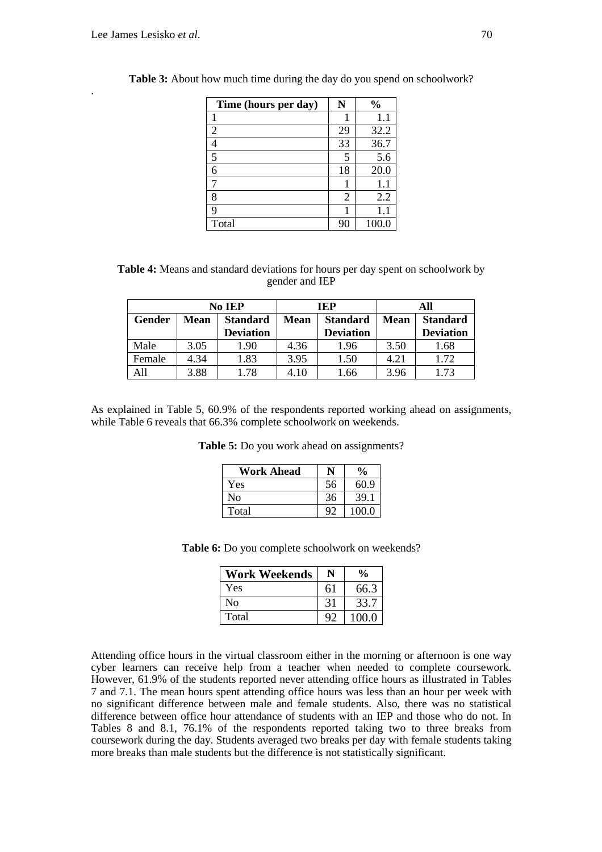.

| Time (hours per day) | N  | $\frac{0}{0}$ |
|----------------------|----|---------------|
|                      |    | 1.1           |
| $\overline{2}$       | 29 | 32.2          |
|                      | 33 | 36.7          |
| 5                    |    | 5.6           |
| 6                    | 18 | 20.0          |
|                      |    | $1.1\,$       |
| 8                    | 2  | 2.2           |
| q                    |    | 1.1           |
| Total                | 90 | 100.0         |

**Table 3:** About how much time during the day do you spend on schoolwork?

| <b>Table 4:</b> Means and standard deviations for hours per day spent on schoolwork by |                |  |
|----------------------------------------------------------------------------------------|----------------|--|
|                                                                                        | gender and IEP |  |

| No IEP |      | IEP              |             | All              |             |                  |
|--------|------|------------------|-------------|------------------|-------------|------------------|
| Gender | Mean | <b>Standard</b>  | <b>Mean</b> | <b>Standard</b>  | <b>Mean</b> | <b>Standard</b>  |
|        |      | <b>Deviation</b> |             | <b>Deviation</b> |             | <b>Deviation</b> |
| Male   | 3.05 | 1.90             | 4.36        | 1.96             | 3.50        | 1.68             |
| Female | 4.34 | 1.83             | 3.95        | 1.50             | 4.21        | 1.72             |
|        | 3.88 | 1.78             | 4.10        | l.66             | 3.96        | 1.73             |

As explained in Table 5, 60.9% of the respondents reported working ahead on assignments, while Table 6 reveals that 66.3% complete schoolwork on weekends.

**Table 5:** Do you work ahead on assignments?

| <b>Work Ahead</b> |    | $\frac{6}{9}$ |
|-------------------|----|---------------|
| Yes               | 56 | 60.9          |
| No                | 36 | 39.1          |
| Total             | 92 | 100.0         |

**Table 6:** Do you complete schoolwork on weekends?

| <b>Work Weekends</b> | N  | $\frac{0}{0}$ |
|----------------------|----|---------------|
| Yes                  | 61 | 66.3          |
| No                   | 31 | 33.7          |
| Total                | 92 | 100.0         |

Attending office hours in the virtual classroom either in the morning or afternoon is one way cyber learners can receive help from a teacher when needed to complete coursework. However, 61.9% of the students reported never attending office hours as illustrated in Tables 7 and 7.1. The mean hours spent attending office hours was less than an hour per week with no significant difference between male and female students. Also, there was no statistical difference between office hour attendance of students with an IEP and those who do not. In Tables 8 and 8.1, 76.1% of the respondents reported taking two to three breaks from coursework during the day. Students averaged two breaks per day with female students taking more breaks than male students but the difference is not statistically significant.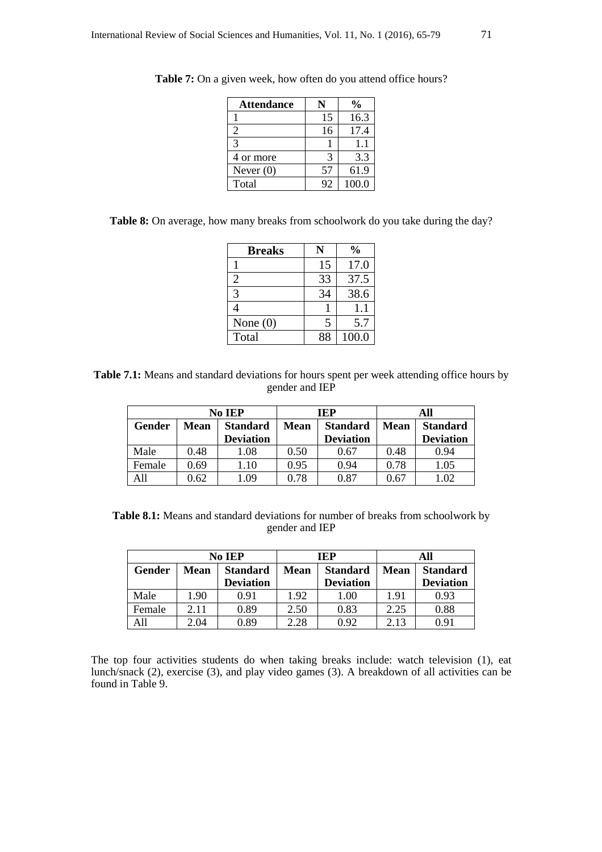| <b>Attendance</b> |    | $\boldsymbol{\theta_{\! / \! 0}}$ |
|-------------------|----|-----------------------------------|
|                   | 15 | 16.3                              |
| $\overline{2}$    | 16 | 17.4                              |
| $\mathcal{R}$     |    | 11                                |
| 4 or more         | 3  | 3.3                               |
| Never $(0)$       | 57 | 61.9                              |
| Total             | 92 | 100.0                             |

**Table 7:** On a given week, how often do you attend office hours?

| Table 8: On average, how many breaks from schoolwork do you take during the day? |  |  |  |
|----------------------------------------------------------------------------------|--|--|--|
|----------------------------------------------------------------------------------|--|--|--|

| <b>Breaks</b> | N  | $\%$  |
|---------------|----|-------|
|               | 15 | 17.0  |
| 2             | 33 | 37.5  |
| 3             | 34 | 38.6  |
|               |    | 1.1   |
| None $(0)$    | 5  | 5.7   |
| Total         | 88 | 100.0 |

**Table 7.1:** Means and standard deviations for hours spent per week attending office hours by gender and IEP

| No IEP |      | IEP              |             | All              |             |                  |
|--------|------|------------------|-------------|------------------|-------------|------------------|
| Gender | Mean | <b>Standard</b>  | <b>Mean</b> | <b>Standard</b>  | <b>Mean</b> | <b>Standard</b>  |
|        |      | <b>Deviation</b> |             | <b>Deviation</b> |             | <b>Deviation</b> |
| Male   | 0.48 | 1.08             | 0.50        | 0.67             | 0.48        | 0.94             |
| Female | 0.69 | .10              | 0.95        | 0.94             | 0.78        | l.05             |
|        | ).62 | .09              | 0.78        | 0.87             | 0.67        |                  |

**Table 8.1:** Means and standard deviations for number of breaks from schoolwork by gender and IEP

| No IEP |      | <b>TEP</b>       |      | All              |             |                  |
|--------|------|------------------|------|------------------|-------------|------------------|
| Gender | Mean | <b>Standard</b>  | Mean | <b>Standard</b>  | <b>Mean</b> | <b>Standard</b>  |
|        |      | <b>Deviation</b> |      | <b>Deviation</b> |             | <b>Deviation</b> |
| Male   | 1.90 | 0.91             | 1.92 | 1.00             | 1.91        | 0.93             |
| Female | 2.11 | 0.89             | 2.50 | 0.83             | 2.25        | 0.88             |
| All    | 2.04 | 0.89             | 2.28 | 0.92             | 2.13        | 0.91             |

The top four activities students do when taking breaks include: watch television (1), eat lunch/snack (2), exercise (3), and play video games (3). A breakdown of all activities can be found in Table 9.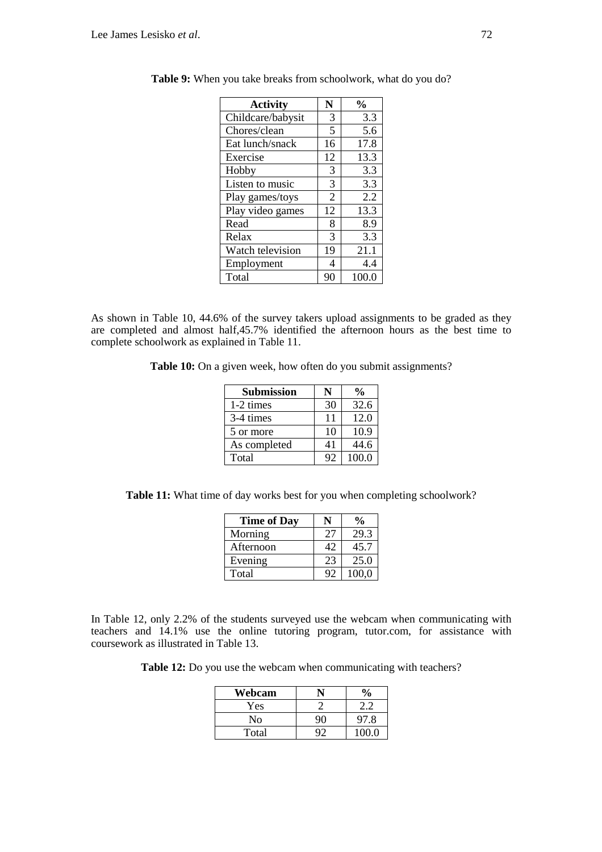| <b>Activity</b>   | N              | $\frac{0}{0}$ |
|-------------------|----------------|---------------|
| Childcare/babysit | 3              | 3.3           |
| Chores/clean      | 5              | 5.6           |
| Eat lunch/snack   | 16             | 17.8          |
| Exercise          | 12             | 13.3          |
| Hobby             | 3              | 3.3           |
| Listen to music   | 3              | 3.3           |
| Play games/toys   | $\overline{2}$ | 2.2           |
| Play video games  | 12             | 13.3          |
| Read              | 8              | 8.9           |
| Relax             | 3              | 3.3           |
| Watch television  | 19             | 21.1          |
| Employment        | 4              | 4.4           |
| Total             | 90             | 100.0         |

**Table 9:** When you take breaks from schoolwork, what do you do?

As shown in Table 10, 44.6% of the survey takers upload assignments to be graded as they are completed and almost half,45.7% identified the afternoon hours as the best time to complete schoolwork as explained in Table 11.

**Table 10:** On a given week, how often do you submit assignments?

| <b>Submission</b> |    | $\frac{0}{0}$ |
|-------------------|----|---------------|
| 1-2 times         | 30 | 32.6          |
| 3-4 times         | 11 | 12.0          |
| 5 or more         | 10 | 10.9          |
| As completed      | 41 | 44.6          |
| Total             | 92 | 100.0         |

**Table 11:** What time of day works best for you when completing schoolwork?

| <b>Time of Day</b> |    | $\frac{1}{2}$ |
|--------------------|----|---------------|
| Morning            | 27 | 29.3          |
| Afternoon          | 42 | 45.7          |
| Evening            | 23 | 25.0          |
| Total              | 92 | 100,0         |

In Table 12, only 2.2% of the students surveyed use the webcam when communicating with teachers and 14.1% use the online tutoring program, tutor.com, for assistance with coursework as illustrated in Table 13.

**Table 12:** Do you use the webcam when communicating with teachers?

| Webcam | $\frac{6}{6}$ |
|--------|---------------|
| Yes    |               |
| No     | 97.8          |
| Total  | 100.0         |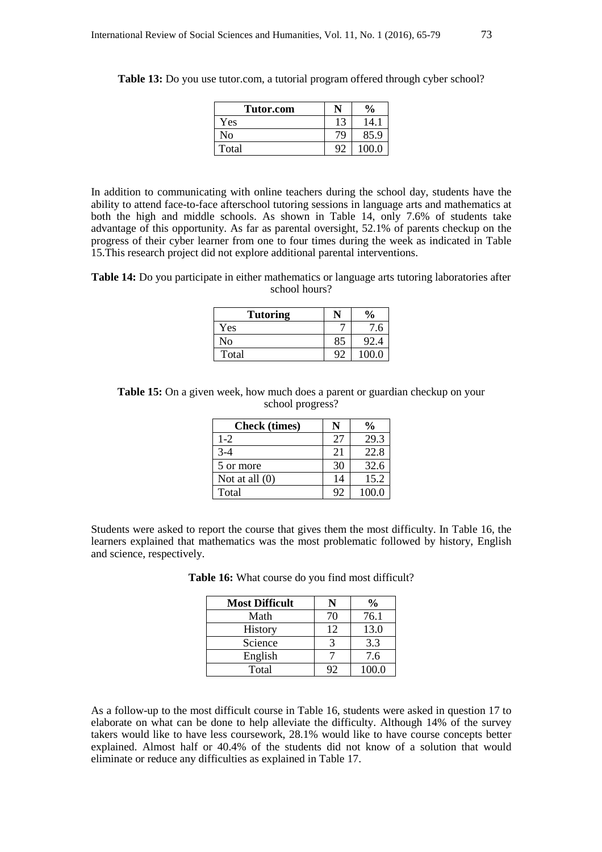| Tutor.com |    | $\frac{6}{9}$ |
|-----------|----|---------------|
| Yes       | 13 | 14.1          |
| No        | 79 | 85.9          |
| Total     | Q. | 100 O         |

**Table 13:** Do you use tutor.com, a tutorial program offered through cyber school?

In addition to communicating with online teachers during the school day, students have the ability to attend face-to-face afterschool tutoring sessions in language arts and mathematics at both the high and middle schools. As shown in Table 14, only 7.6% of students take advantage of this opportunity. As far as parental oversight, 52.1% of parents checkup on the progress of their cyber learner from one to four times during the week as indicated in Table 15.This research project did not explore additional parental interventions.

**Table 14:** Do you participate in either mathematics or language arts tutoring laboratories after school hours?

| <b>Tutoring</b> |    | $\frac{6}{9}$ |
|-----------------|----|---------------|
| Yes             |    | .6            |
| No              | 85 | 92.4          |
| Total           | Q٢ | 100 0         |

**Table 15:** On a given week, how much does a parent or guardian checkup on your school progress?

| <b>Check</b> (times) | N  | $\frac{0}{0}$ |
|----------------------|----|---------------|
| $1 - 2$              | 27 | 29.3          |
| $3-4$                | 21 | 22.8          |
| 5 or more            | 30 | 32.6          |
| Not at all $(0)$     | 14 | 15.2          |
| Total                | 92 | 100.0         |

Students were asked to report the course that gives them the most difficulty. In Table 16, the learners explained that mathematics was the most problematic followed by history, English and science, respectively.

**Table 16:** What course do you find most difficult?

| <b>Most Difficult</b> |    | $\%$  |
|-----------------------|----|-------|
| Math                  | 70 | 76.1  |
| <b>History</b>        | 12 | 13.0  |
| Science               |    | 3.3   |
| English               |    | 7.6   |
| Total                 | 92 | 100.0 |

As a follow-up to the most difficult course in Table 16, students were asked in question 17 to elaborate on what can be done to help alleviate the difficulty. Although 14% of the survey takers would like to have less coursework, 28.1% would like to have course concepts better explained. Almost half or 40.4% of the students did not know of a solution that would eliminate or reduce any difficulties as explained in Table 17.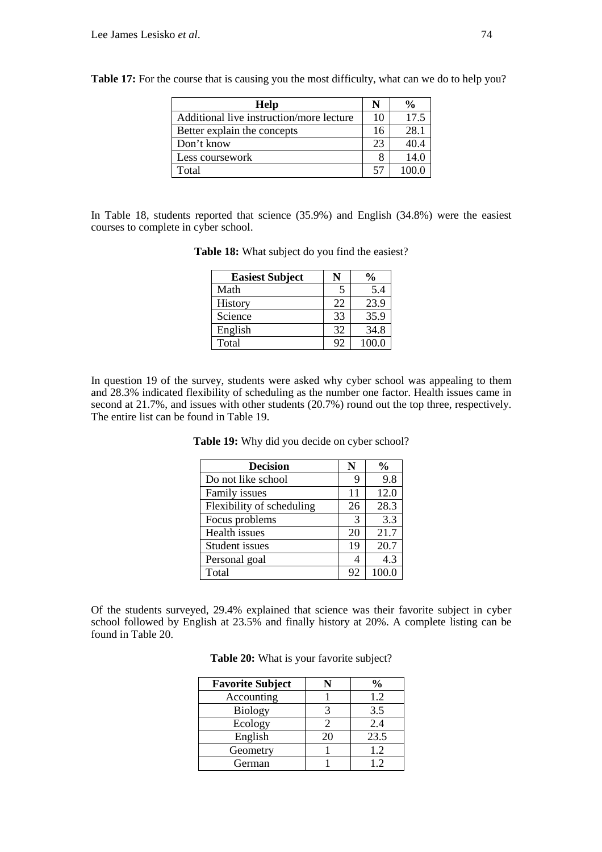| Help                                     |    | $\frac{0}{0}$ |
|------------------------------------------|----|---------------|
| Additional live instruction/more lecture | 10 | 17.5          |
| Better explain the concepts              | 16 | 28.1          |
| Don't know                               | 23 | 40.4          |
| Less coursework                          |    | 14.0          |
| Total                                    | 57 | 1000          |

**Table 17:** For the course that is causing you the most difficulty, what can we do to help you?

In Table 18, students reported that science (35.9%) and English (34.8%) were the easiest courses to complete in cyber school.

| <b>Easiest Subject</b> |    | $\frac{6}{9}$ |
|------------------------|----|---------------|
| Math                   | 5  | 5.4           |
| History                | 22 | 23.9          |
| Science                | 33 | 35.9          |
| English                | 32 | 34.8          |
| Total                  | 92 | 100.0         |

**Table 18:** What subject do you find the easiest?

In question 19 of the survey, students were asked why cyber school was appealing to them and 28.3% indicated flexibility of scheduling as the number one factor. Health issues came in second at 21.7%, and issues with other students (20.7%) round out the top three, respectively. The entire list can be found in Table 19.

| <b>Decision</b>           | N  | $\frac{0}{0}$ |
|---------------------------|----|---------------|
| Do not like school        | 9  | 9.8           |
| Family issues             | 11 | 12.0          |
| Flexibility of scheduling | 26 | 28.3          |
| Focus problems            | 3  | 3.3           |
| Health issues             | 20 | 21.7          |
| Student issues            | 19 | 20.7          |
| Personal goal             |    | 4.3           |
| Total                     | 92 | 100.0         |

**Table 19:** Why did you decide on cyber school?

Of the students surveyed, 29.4% explained that science was their favorite subject in cyber school followed by English at 23.5% and finally history at 20%. A complete listing can be found in Table 20.

| Table 20: What is your favorite subject? |  |  |
|------------------------------------------|--|--|
|                                          |  |  |

| <b>Favorite Subject</b> |    | $\frac{0}{0}$ |
|-------------------------|----|---------------|
| Accounting              |    | 1.2           |
| <b>Biology</b>          |    | 3.5           |
| Ecology                 |    | 2.4           |
| English                 | 20 | 23.5          |
| Geometry                |    | 1.2           |
| German                  |    | 12            |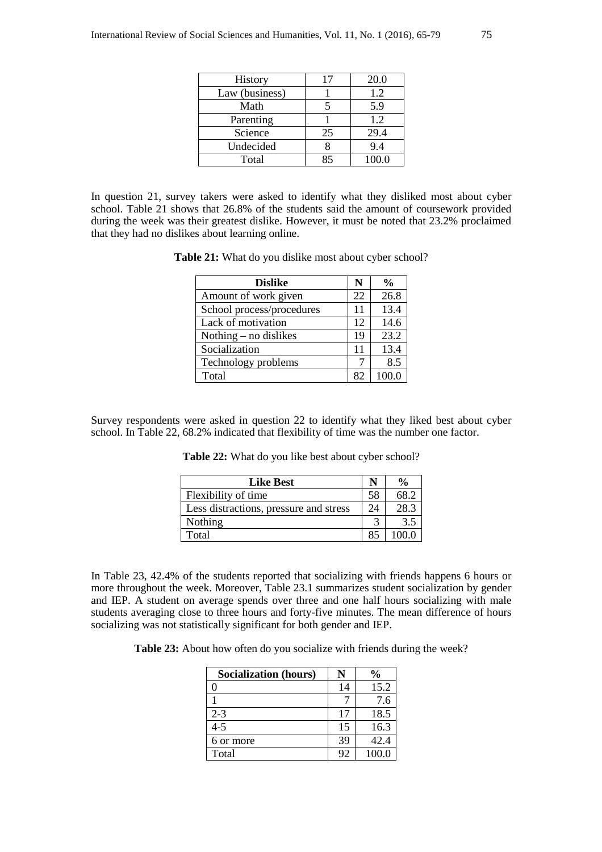| History        | 17 | 20.0  |
|----------------|----|-------|
| Law (business) |    | 1.2   |
| Math           |    | 5.9   |
| Parenting      |    | 1.2   |
| Science        | 25 | 29.4  |
| Undecided      |    | 9.4   |
| Total          | Q۵ | 100.0 |

In question 21, survey takers were asked to identify what they disliked most about cyber school. Table 21 shows that 26.8% of the students said the amount of coursework provided during the week was their greatest dislike. However, it must be noted that 23.2% proclaimed that they had no dislikes about learning online.

**Table 21:** What do you dislike most about cyber school?

| <b>Dislike</b>            | N  | $\frac{1}{2}$ |
|---------------------------|----|---------------|
| Amount of work given      | 22 | 26.8          |
| School process/procedures | 11 | 13.4          |
| Lack of motivation        | 12 | 14.6          |
| Nothing $-$ no dislikes   | 19 | 23.2          |
| Socialization             | 11 | 13.4          |
| Technology problems       |    | 8.5           |
| Total                     | 82 |               |

Survey respondents were asked in question 22 to identify what they liked best about cyber school. In Table 22, 68.2% indicated that flexibility of time was the number one factor.

| <b>Like Best</b>                       | N  | $\frac{0}{0}$ |
|----------------------------------------|----|---------------|
| Flexibility of time                    | 58 | 68.2          |
| Less distractions, pressure and stress | 24 | 28.3          |
| Nothing                                |    | 3.5           |
| Total                                  | 85 | 100 0         |

**Table 22:** What do you like best about cyber school?

In Table 23, 42.4% of the students reported that socializing with friends happens 6 hours or more throughout the week. Moreover, Table 23.1 summarizes student socialization by gender and IEP. A student on average spends over three and one half hours socializing with male students averaging close to three hours and forty-five minutes. The mean difference of hours socializing was not statistically significant for both gender and IEP.

**Table 23:** About how often do you socialize with friends during the week?

| <b>Socialization (hours)</b> |    | $\frac{0}{0}$ |
|------------------------------|----|---------------|
|                              | 14 | 15.2          |
|                              |    | 7.6           |
| $2 - 3$                      | 17 | 18.5          |
| $4 - 5$                      | 15 | 16.3          |
| 6 or more                    | 39 | 42.4          |
| Total                        | 92 | 100.0         |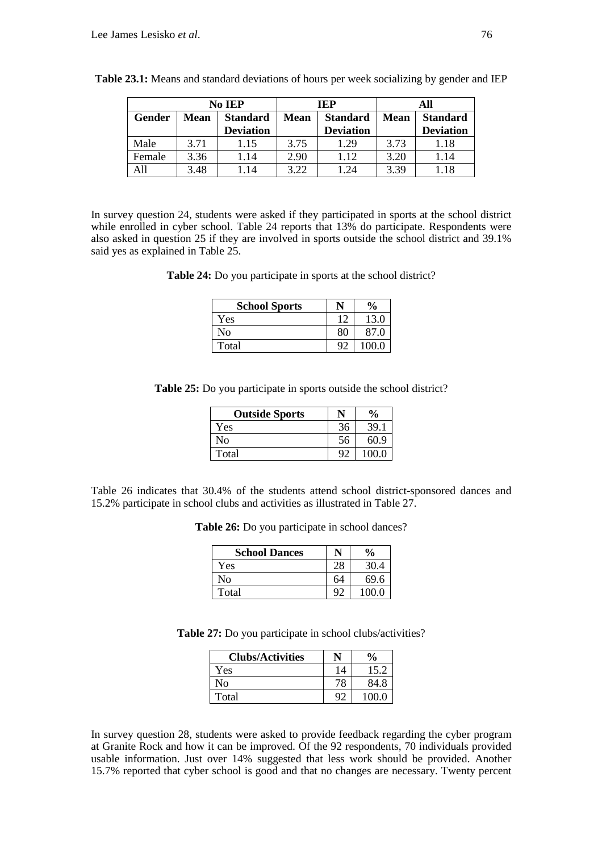|        | No IEP |                                     | IEP         |                                     |             | All                                 |
|--------|--------|-------------------------------------|-------------|-------------------------------------|-------------|-------------------------------------|
| Gender | Mean   | <b>Standard</b><br><b>Deviation</b> | <b>Mean</b> | <b>Standard</b><br><b>Deviation</b> | <b>Mean</b> | <b>Standard</b><br><b>Deviation</b> |
| Male   | 3.71   | 1.15                                | 3.75        | 1.29                                | 3.73        | 1.18                                |
| Female | 3.36   | 1.14                                | 2.90        | 1.12                                | 3.20        | 1.14                                |
| All    | 3.48   | i 14                                | 3.22        | 1.24                                | 3.39        | 1.18                                |

**Table 23.1:** Means and standard deviations of hours per week socializing by gender and IEP

In survey question 24, students were asked if they participated in sports at the school district while enrolled in cyber school. Table 24 reports that 13% do participate. Respondents were also asked in question 25 if they are involved in sports outside the school district and 39.1% said yes as explained in Table 25.

**Table 24:** Do you participate in sports at the school district?

| <b>School Sports</b> |    | $\frac{6}{6}$ |
|----------------------|----|---------------|
| Yes                  | 12 | 13.0          |
| No                   | 80 | 87.0          |
| Total                | ٥. | 100.0         |

**Table 25:** Do you participate in sports outside the school district?

| <b>Outside Sports</b> | N  | $\frac{6}{6}$ |
|-----------------------|----|---------------|
| Yes                   | 36 | 39.1          |
| No                    | 56 | 60.9          |
| Total                 | ۵ŕ | 100.0         |

Table 26 indicates that 30.4% of the students attend school district-sponsored dances and 15.2% participate in school clubs and activities as illustrated in Table 27.

| <b>School Dances</b> |    | $\frac{6}{9}$ |
|----------------------|----|---------------|
| Yes                  | 28 | 30.4          |
| No                   | 64 | 69.6          |
| Total                | Q٢ | 100.0         |

**Table 27:** Do you participate in school clubs/activities?

| <b>Clubs/Activities</b> | N            | $\frac{6}{6}$ |
|-------------------------|--------------|---------------|
| Yes                     | 14           | 15.2          |
| No                      | 78           | 84.8          |
| Total                   | $Q^{\gamma}$ | 100.0         |

In survey question 28, students were asked to provide feedback regarding the cyber program at Granite Rock and how it can be improved. Of the 92 respondents, 70 individuals provided usable information. Just over 14% suggested that less work should be provided. Another 15.7% reported that cyber school is good and that no changes are necessary. Twenty percent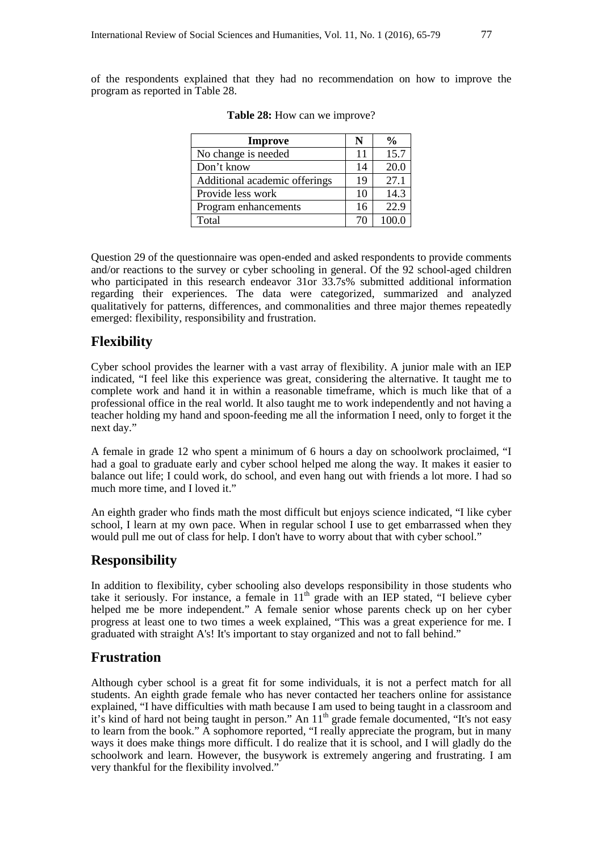of the respondents explained that they had no recommendation on how to improve the program as reported in Table 28.

| <b>Improve</b>                | N  | %     |
|-------------------------------|----|-------|
| No change is needed           | 11 | 15.7  |
| Don't know                    | 14 | 20.0  |
| Additional academic offerings | 19 | 27.1  |
| Provide less work             | 10 | 14.3  |
| Program enhancements          | 16 | 22.9  |
| Total                         | 70 | 100.0 |

|  |  | <b>Table 28:</b> How can we improve? |
|--|--|--------------------------------------|
|--|--|--------------------------------------|

Question 29 of the questionnaire was open-ended and asked respondents to provide comments and/or reactions to the survey or cyber schooling in general. Of the 92 school-aged children who participated in this research endeavor 31or 33.7s% submitted additional information regarding their experiences. The data were categorized, summarized and analyzed qualitatively for patterns, differences, and commonalities and three major themes repeatedly emerged: flexibility, responsibility and frustration.

### **Flexibility**

Cyber school provides the learner with a vast array of flexibility. A junior male with an IEP indicated, "I feel like this experience was great, considering the alternative. It taught me to complete work and hand it in within a reasonable timeframe, which is much like that of a professional office in the real world. It also taught me to work independently and not having a teacher holding my hand and spoon-feeding me all the information I need, only to forget it the next day."

A female in grade 12 who spent a minimum of 6 hours a day on schoolwork proclaimed, "I had a goal to graduate early and cyber school helped me along the way. It makes it easier to balance out life; I could work, do school, and even hang out with friends a lot more. I had so much more time, and I loved it."

An eighth grader who finds math the most difficult but enjoys science indicated, "I like cyber school, I learn at my own pace. When in regular school I use to get embarrassed when they would pull me out of class for help. I don't have to worry about that with cyber school."

## **Responsibility**

In addition to flexibility, cyber schooling also develops responsibility in those students who take it seriously. For instance, a female in  $11<sup>th</sup>$  grade with an IEP stated, "I believe cyber helped me be more independent." A female senior whose parents check up on her cyber progress at least one to two times a week explained, "This was a great experience for me. I graduated with straight A's! It's important to stay organized and not to fall behind."

### **Frustration**

Although cyber school is a great fit for some individuals, it is not a perfect match for all students. An eighth grade female who has never contacted her teachers online for assistance explained, "I have difficulties with math because I am used to being taught in a classroom and it's kind of hard not being taught in person." An 11<sup>th</sup> grade female documented, "It's not easy to learn from the book." A sophomore reported, "I really appreciate the program, but in many ways it does make things more difficult. I do realize that it is school, and I will gladly do the schoolwork and learn. However, the busywork is extremely angering and frustrating. I am very thankful for the flexibility involved."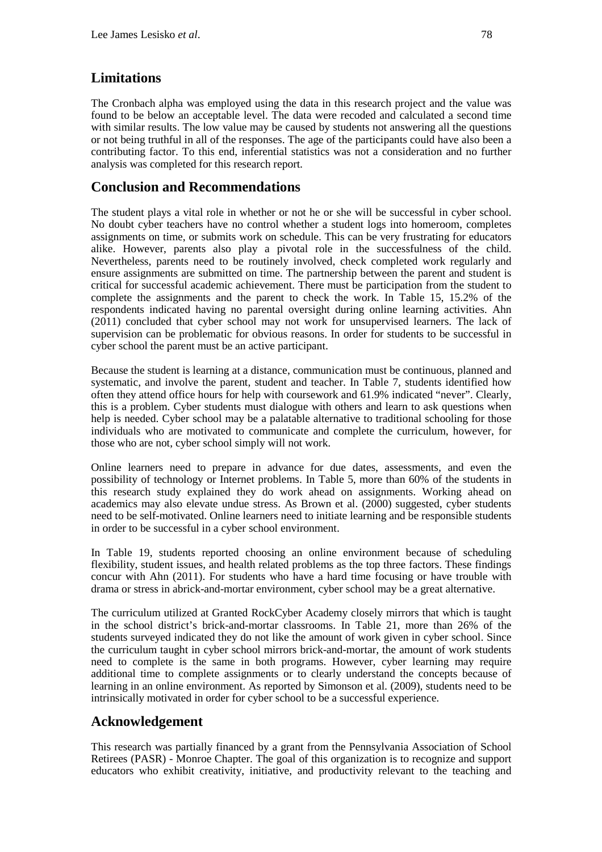# **Limitations**

The Cronbach alpha was employed using the data in this research project and the value was found to be below an acceptable level. The data were recoded and calculated a second time with similar results. The low value may be caused by students not answering all the questions or not being truthful in all of the responses. The age of the participants could have also been a contributing factor. To this end, inferential statistics was not a consideration and no further analysis was completed for this research report.

# **Conclusion and Recommendations**

The student plays a vital role in whether or not he or she will be successful in cyber school. No doubt cyber teachers have no control whether a student logs into homeroom, completes assignments on time, or submits work on schedule. This can be very frustrating for educators alike. However, parents also play a pivotal role in the successfulness of the child. Nevertheless, parents need to be routinely involved, check completed work regularly and ensure assignments are submitted on time. The partnership between the parent and student is critical for successful academic achievement. There must be participation from the student to complete the assignments and the parent to check the work. In Table 15, 15.2% of the respondents indicated having no parental oversight during online learning activities. Ahn (2011) concluded that cyber school may not work for unsupervised learners. The lack of supervision can be problematic for obvious reasons. In order for students to be successful in cyber school the parent must be an active participant.

Because the student is learning at a distance, communication must be continuous, planned and systematic, and involve the parent, student and teacher. In Table 7, students identified how often they attend office hours for help with coursework and 61.9% indicated "never". Clearly, this is a problem. Cyber students must dialogue with others and learn to ask questions when help is needed. Cyber school may be a palatable alternative to traditional schooling for those individuals who are motivated to communicate and complete the curriculum, however, for those who are not, cyber school simply will not work.

Online learners need to prepare in advance for due dates, assessments, and even the possibility of technology or Internet problems. In Table 5, more than 60% of the students in this research study explained they do work ahead on assignments. Working ahead on academics may also elevate undue stress. As Brown et al. (2000) suggested, cyber students need to be self-motivated. Online learners need to initiate learning and be responsible students in order to be successful in a cyber school environment.

In Table 19, students reported choosing an online environment because of scheduling flexibility, student issues, and health related problems as the top three factors. These findings concur with Ahn (2011). For students who have a hard time focusing or have trouble with drama or stress in abrick-and-mortar environment, cyber school may be a great alternative.

The curriculum utilized at Granted RockCyber Academy closely mirrors that which is taught in the school district's brick-and-mortar classrooms. In Table 21, more than 26% of the students surveyed indicated they do not like the amount of work given in cyber school. Since the curriculum taught in cyber school mirrors brick-and-mortar, the amount of work students need to complete is the same in both programs. However, cyber learning may require additional time to complete assignments or to clearly understand the concepts because of learning in an online environment. As reported by Simonson et al. (2009), students need to be intrinsically motivated in order for cyber school to be a successful experience.

# **Acknowledgement**

This research was partially financed by a grant from the Pennsylvania Association of School Retirees (PASR) - Monroe Chapter. The goal of this organization is to recognize and support educators who exhibit creativity, initiative, and productivity relevant to the teaching and